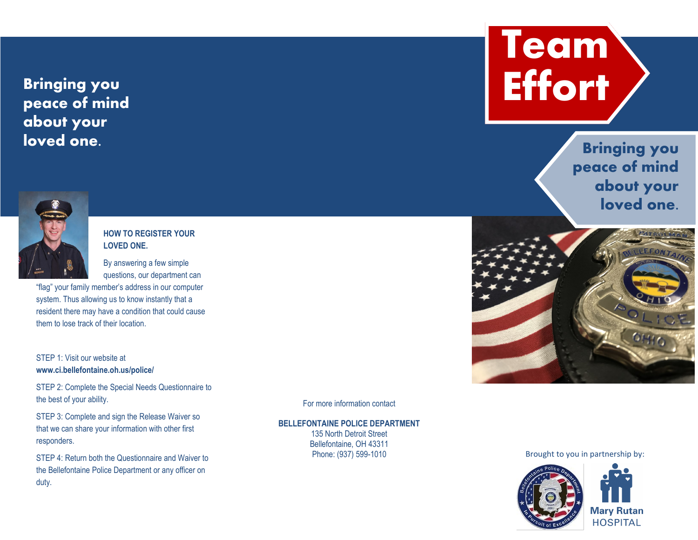## **Bringing you peace of mind about your loved one.**



## **HOW TO REGISTER YOUR LOVED ONE.**

By answering a few simple questions, our department can

"flag" your family member's address in our computer system. Thus allowing us to know instantly that a resident there may have a condition that could cause them to lose track of their location.

## STEP 1: Visit our website at **www.ci.bellefontaine.oh.us/police/**

STEP 2: Complete the Special Needs Questionnaire to the best of your ability.

STEP 3: Complete and sign the Release Waiver so that we can share your information with other first responders.

STEP 4: Return both the Questionnaire and Waiver to the Bellefontaine Police Department or any officer on duty.

For more information contact

**BELLEFONTAINE POLICE DEPARTMENT** 135 North Detroit Street Bellefontaine, OH 43311

Phone: (937) 599-1010



**Bringing you peace of mind about your loved one.** 



Brought to you in partnership by: